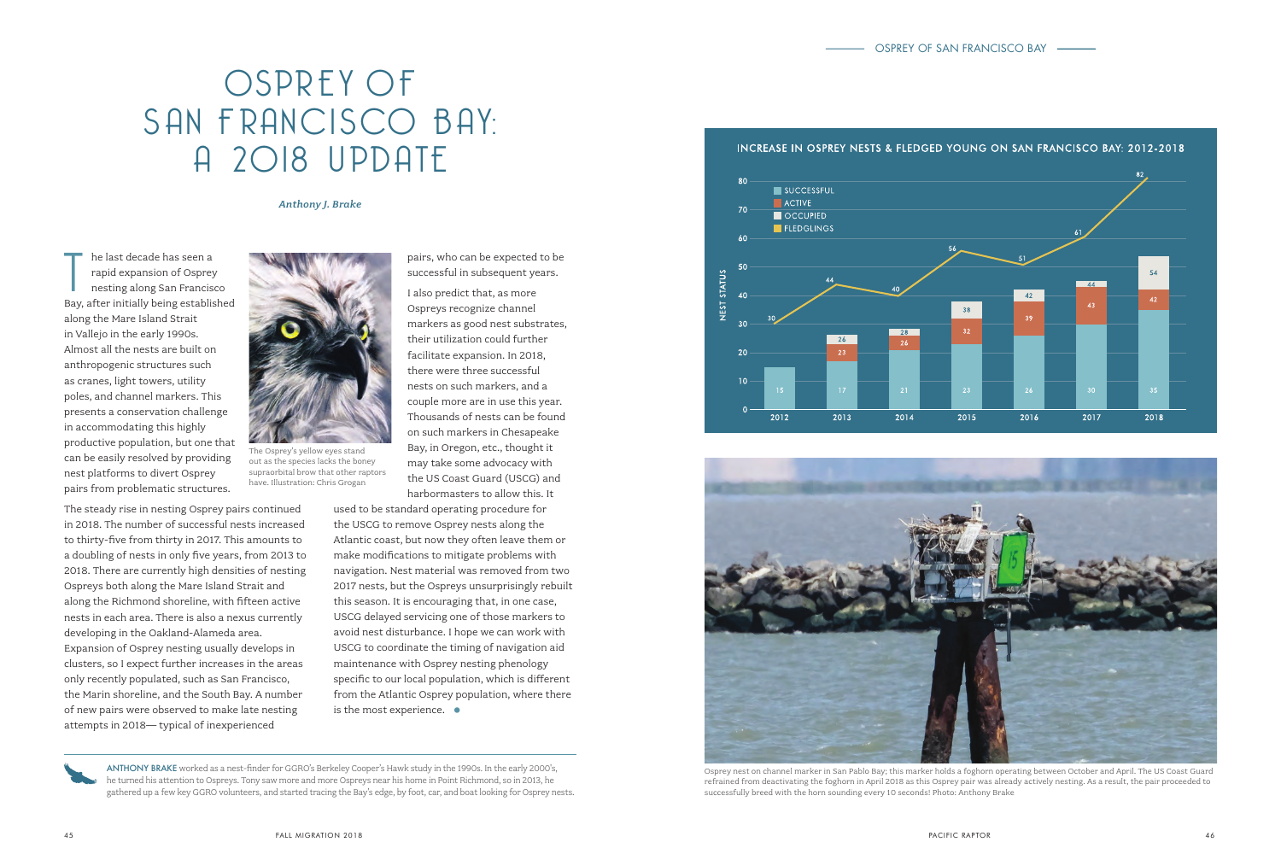## OSPREY OF SAN FRANCISCO BAY: A 2018 UPDATE

## *Anthony J. Brake*

he last decade has seen a<br>
rapid expansion of Osprey<br>
nesting along San Francisco<br>
Bay, after initially being established he last decade has seen a rapid expansion of Osprey nesting along San Francisco along the Mare Island Strait in Vallejo in the early 1990s. Almost all the nests are built on anthropogenic structures such as cranes, light towers, utility poles, and channel markers. This presents a conservation challenge in accommodating this highly productive population, but one that can be easily resolved by providing nest platforms to divert Osprey pairs from problematic structures.

The steady rise in nesting Osprey pairs continued in 2018. The number of successful nests increased to thirty-five from thirty in 2017. This amounts to a doubling of nests in only five years, from 2013 to 2018. There are currently high densities of nesting Ospreys both along the Mare Island Strait and along the Richmond shoreline, with fifteen active nests in each area. There is also a nexus currently developing in the Oakland-Alameda area. Expansion of Osprey nesting usually develops in clusters, so I expect further increases in the areas only recently populated, such as San Francisco, the Marin shoreline, and the South Bay. A number of new pairs were observed to make late nesting attempts in 2018— typical of inexperienced



The Osprey's yellow eyes stand out as the species lacks the boney supraorbital brow that other raptors have. Illustration: Chris Grogan

pairs, who can be expected to be successful in subsequent years.

I also predict that, as more Ospreys recognize channel markers as good nest substrates, their utilization could further facilitate expansion. In 2018, there were three successful nests on such markers, and a couple more are in use this year. Thousands of nests can be found on such markers in Chesapeake Bay, in Oregon, etc., thought it may take some advocacy with the US Coast Guard (USCG) and harbormasters to allow this. It

used to be standard operating procedure for the USCG to remove Osprey nests along the Atlantic coast, but now they often leave them or make modifications to mitigate problems with navigation. Nest material was removed from two 2017 nests, but the Ospreys unsurprisingly rebuilt this season. It is encouraging that, in one case, USCG delayed servicing one of those markers to avoid nest disturbance. I hope we can work with USCG to coordinate the timing of navigation aid maintenance with Osprey nesting phenology specific to our local population, which is different from the Atlantic Osprey population, where there is the most experience.  $\bullet$ 

ANTHONY BRAKE worked as a nest-finder for GGRO's Berkeley Cooper's Hawk study in the 1990s. In the early 2000's, he turned his attention to Ospreys. Tony saw more and more Ospreys near his home in Point Richmond, so in 2013, he gathered up a few key GGRO volunteers, and started tracing the Bay's edge, by foot, car, and boat looking for Osprey nests.

## INCREASE IN OSPREY NESTS & FLEDGED YOUNG ON SAN FRANCISCO BAY: 2012-2018





Osprey nest on channel marker in San Pablo Bay; this marker holds a foghorn operating between October and April. The US Coast Guard refrained from deactivating the foghorn in April 2018 as this Osprey pair was already actively nesting. As a result, the pair proceeded to successfully breed with the horn sounding every 10 seconds! Photo: Anthony Brake